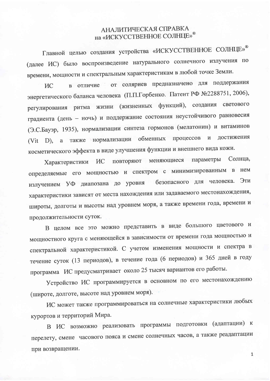## АНАЛИТИЧЕСКАЯ СПРАВКА на «ИСКУССТВЕННОЕ СОЛНЦЕ»®

Главной целью создания устройства «ИСКУССТВЕННОЕ СОЛНЦЕ»<sup>®</sup> (далее ИС) было воспроизведение натурального солнечного излучения по времени, мощности и спектральным характеристикам в любой точке Земли.

в отличие от соляриев предназначено для поддержания **NC** энергетического баланса человека (П.П.Горбенко. Патент РФ №2288751, 2006), регулирования ритма жизни (жизненных функций), создания светового градиента (день - ночь) и поддержание состояния неустойчивого равновесия (Э.С.Бауэр, 1935), нормализации синтеза гормонов (мелатонин) и витаминов (Vit D), а также нормализации обменных процессов и достижения косметического эффекта в виде улучшения функции и внешнего вида кожи.

повторяют меняющиеся параметры Солнца, **NC** Характеристики определяемые его мощностью и спектром с минимизированным в нем излучением УФ диапозана до уровня безопасного для человека. Эти характеристики зависят от места нахождения или задаваемого местонахождения, широты, долготы и высоты над уровнем моря, а также времени года, времени и продолжительности суток.

В целом все это можно представить в виде большого цветового и мощностного круга с меняющейся в зависимости от времени года мощностью и спектральной характеристикой. С учетом изменения мощности и спектра в течение суток (13 периодов), в течение года (6 периодов) и 365 дней в году программа ИС предусматривает около 25 тысяч вариантов его работы.

Устройство ИС программируется в основном по его местонахождению (широте, долготе, высоте над уровнем моря).

ИС может также программироваться на солнечные характеристики любых курортов и территорий Мира.

В ИС возможно реализовать программы подготовки (адаптации) к перелету, смене часового пояса и смене солнечных часов, а также реадаптации при возвращении.

 $\mathbf{1}$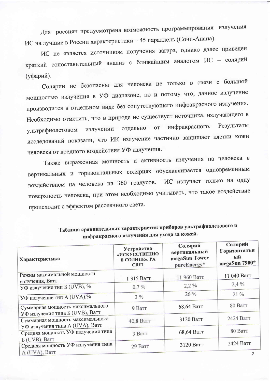Для россиян предусмотрена возможность программирования излучения ИС на лучшие в России характеристики - 45 параллель (Сочи-Анапа).

ИС не является источником получения загара, однако далее приведен краткий сопоставительный анализ с ближайшим аналогом ИС - солярий (уфарий).

Солярии не безопасны для человека не только в связи с большой мощностью излучения в УФ диапазоне, но и потому что, данное излучение производится в отдельном виде без сопутствующего инфракрасного излучения. Необходимо отметить, что в природе не существует источника, излучающего в излучении отдельно от инфракрасного. Результаты ультрафиолетовом исследований показали, что ИК излучение частично защищает клетки кожи человека от вредного воздействия УФ излучения.

Также выраженная мощность и активность излучения на человека в вертикальных и горизонтальных соляриях обуславливается одновременным воздействием на человека на 360 градусов. ИС излучает только на одну поверхность человека, при этом необходимо учитывать, что такое воздействие происходит с эффектом рассеянного света.

| Характеристика                                                        | Устройство<br>«ИСКУССТВЕННО<br>Е СОЛНЦЕ», РА<br><b>CBET</b> | Солярий<br>вертикальный<br>megaSun Tower<br>pureEnergy* | Солярий<br>Горизонтальн<br>ый<br>megaSun 7900* |
|-----------------------------------------------------------------------|-------------------------------------------------------------|---------------------------------------------------------|------------------------------------------------|
| Режим максимальной мощности                                           | 1 315 Barr                                                  | 11 960 Barr                                             | 11 040 Ватт                                    |
| излучения, Ватт<br>УФ излучение тип Б (UVB), %                        | $0.7\%$                                                     | $2.2\%$                                                 | $2.4\%$                                        |
| УФ излучение тип A (UVA),%                                            | $3\%$                                                       | $26\%$                                                  | $21\%$                                         |
| Суммарная мощность максимального                                      | 9 Barr                                                      | 68,64 Ватт                                              | 80 Barr                                        |
| УФ излучения типа Б (UVB), Ватт<br>Суммарная мощность максимального   | 40,8 Ватт                                                   | 3120 Ватт                                               | 2424 Ватт                                      |
| УФ излучения типа A (UVA), Ватт<br>Средняя мощность УФ излучения типа | 3 Barr                                                      | 68,64 Barr                                              | 80 Barr                                        |
| Б (UVB), Ватт<br>Средняя мощность УФ излучения типа                   | 29 Barr                                                     | 3120 Ватт                                               | 2424 Ватт                                      |
| A (UVA), Barr                                                         |                                                             |                                                         |                                                |

Таблица сравнительных характеристик приборов ультрафиолетового и инфракрасного излучения для ухода за кожей.